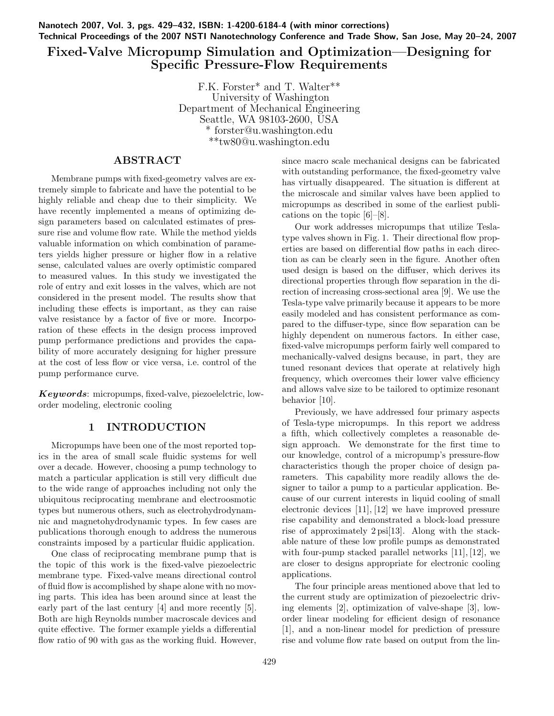Nanotech 2007, Vol. 3, pgs. 429–432, ISBN: 1-4200-6184-4 (with minor corrections) Technical Proceedings of the 2007 NSTI Nanotechnology Conference and Trade Show, San Jose, May 20–24, 2007

## Fixed-Valve Micropump Simulation and Optimization—Designing for Specific Pressure-Flow Requirements

F.K. Forster\* and T. Walter\*\* University of Washington Department of Mechanical Engineering Seattle, WA 98103-2600, USA \* forster@u.washington.edu \*\*tw80@u.washington.edu

## ABSTRACT

Membrane pumps with fixed-geometry valves are extremely simple to fabricate and have the potential to be highly reliable and cheap due to their simplicity. We have recently implemented a means of optimizing design parameters based on calculated estimates of pressure rise and volume flow rate. While the method yields valuable information on which combination of parameters yields higher pressure or higher flow in a relative sense, calculated values are overly optimistic compared to measured values. In this study we investigated the role of entry and exit losses in the valves, which are not considered in the present model. The results show that including these effects is important, as they can raise valve resistance by a factor of five or more. Incorporation of these effects in the design process improved pump performance predictions and provides the capability of more accurately designing for higher pressure at the cost of less flow or vice versa, i.e. control of the pump performance curve.

Keywords: micropumps, fixed-valve, piezoelelctric, loworder modeling, electronic cooling

## 1 INTRODUCTION

Micropumps have been one of the most reported topics in the area of small scale fluidic systems for well over a decade. However, choosing a pump technology to match a particular application is still very difficult due to the wide range of approaches including not only the ubiquitous reciprocating membrane and electroosmotic types but numerous others, such as electrohydrodynamnic and magnetohydrodynamic types. In few cases are publications thorough enough to address the numerous constraints imposed by a particular fluidic application.

One class of reciprocating membrane pump that is the topic of this work is the fixed-valve piezoelectric membrane type. Fixed-valve means directional control of fluid flow is accomplished by shape alone with no moving parts. This idea has been around since at least the early part of the last century [4] and more recently [5]. Both are high Reynolds number macroscale devices and quite effective. The former example yields a differential flow ratio of 90 with gas as the working fluid. However, since macro scale mechanical designs can be fabricated with outstanding performance, the fixed-geometry valve has virtually disappeared. The situation is different at the microscale and similar valves have been applied to micropumps as described in some of the earliest publications on the topic [6]–[8].

Our work addresses micropumps that utilize Teslatype valves shown in Fig. 1. Their directional flow properties are based on differential flow paths in each direction as can be clearly seen in the figure. Another often used design is based on the diffuser, which derives its directional properties through flow separation in the direction of increasing cross-sectional area [9]. We use the Tesla-type valve primarily because it appears to be more easily modeled and has consistent performance as compared to the diffuser-type, since flow separation can be highly dependent on numerous factors. In either case, fixed-valve micropumps perform fairly well compared to mechanically-valved designs because, in part, they are tuned resonant devices that operate at relatively high frequency, which overcomes their lower valve efficiency and allows valve size to be tailored to optimize resonant behavior [10].

Previously, we have addressed four primary aspects of Tesla-type micropumps. In this report we address a fifth, which collectively completes a reasonable design approach. We demonstrate for the first time to our knowledge, control of a micropump's pressure-flow characteristics though the proper choice of design parameters. This capability more readily allows the designer to tailor a pump to a particular application. Because of our current interests in liquid cooling of small electronic devices [11], [12] we have improved pressure rise capability and demonstrated a block-load pressure rise of approximately 2 psi[13]. Along with the stackable nature of these low profile pumps as demonstrated with four-pump stacked parallel networks [11], [12], we are closer to designs appropriate for electronic cooling applications.

The four principle areas mentioned above that led to the current study are optimization of piezoelectric driving elements [2], optimization of valve-shape [3], loworder linear modeling for efficient design of resonance [1], and a non-linear model for prediction of pressure rise and volume flow rate based on output from the lin-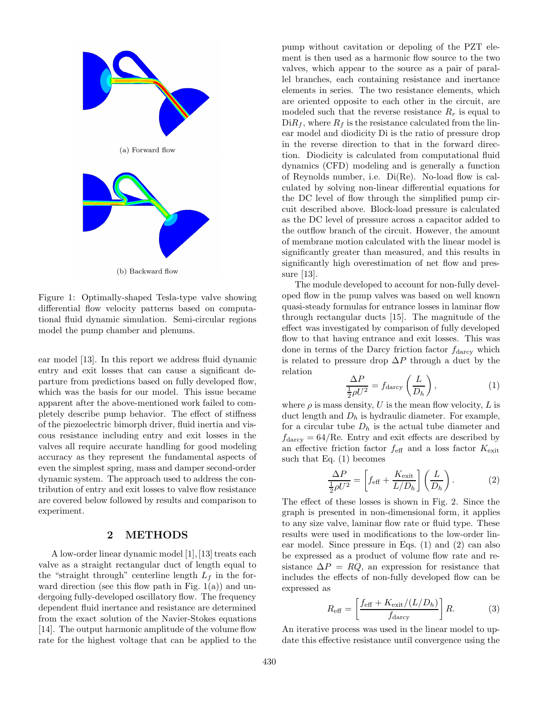

(b) Backward flow

Figure 1: Optimally-shaped Tesla-type valve showing differential flow velocity patterns based on computational fluid dynamic simulation. Semi-circular regions model the pump chamber and plenums.

ear model [13]. In this report we address fluid dynamic entry and exit losses that can cause a significant departure from predictions based on fully developed flow, which was the basis for our model. This issue became apparent after the above-mentioned work failed to completely describe pump behavior. The effect of stiffness of the piezoelectric bimorph driver, fluid inertia and viscous resistance including entry and exit losses in the valves all require accurate handling for good modeling accuracy as they represent the fundamental aspects of even the simplest spring, mass and damper second-order dynamic system. The approach used to address the contribution of entry and exit losses to valve flow resistance are covered below followed by results and comparison to experiment.

### 2 METHODS

A low-order linear dynamic model [1], [13] treats each valve as a straight rectangular duct of length equal to the "straight through" centerline length  $L_f$  in the forward direction (see this flow path in Fig.  $1(a)$ ) and undergoing fully-developed oscillatory flow. The frequency dependent fluid inertance and resistance are determined from the exact solution of the Navier-Stokes equations [14]. The output harmonic amplitude of the volume flow rate for the highest voltage that can be applied to the

pump without cavitation or depoling of the PZT element is then used as a harmonic flow source to the two valves, which appear to the source as a pair of parallel branches, each containing resistance and inertance elements in series. The two resistance elements, which are oriented opposite to each other in the circuit, are modeled such that the reverse resistance  $R_r$  is equal to  $DiR_f$ , where  $R_f$  is the resistance calculated from the linear model and diodicity Di is the ratio of pressure drop in the reverse direction to that in the forward direction. Diodicity is calculated from computational fluid dynamics (CFD) modeling and is generally a function of Reynolds number, i.e. Di(Re). No-load flow is calculated by solving non-linear differential equations for the DC level of flow through the simplified pump circuit described above. Block-load pressure is calculated as the DC level of pressure across a capacitor added to the outflow branch of the circuit. However, the amount of membrane motion calculated with the linear model is significantly greater than measured, and this results in significantly high overestimation of net flow and pressure [13].

The module developed to account for non-fully developed flow in the pump valves was based on well known quasi-steady formulas for entrance losses in laminar flow through rectangular ducts [15]. The magnitude of the effect was investigated by comparison of fully developed flow to that having entrance and exit losses. This was done in terms of the Darcy friction factor  $f_{\text{darcv}}$  which is related to pressure drop  $\Delta P$  through a duct by the relation

$$
\frac{\Delta P}{\frac{1}{2}\rho U^2} = f_{\text{darcy}}\left(\frac{L}{D_h}\right),\tag{1}
$$

where  $\rho$  is mass density, U is the mean flow velocity, L is duct length and  $D_h$  is hydraulic diameter. For example, for a circular tube  $D_h$  is the actual tube diameter and  $f_{\text{darcy}} = 64/\text{Re}$ . Entry and exit effects are described by an effective friction factor  $f_{\text{eff}}$  and a loss factor  $K_{\text{exit}}$ such that Eq. (1) becomes

$$
\frac{\Delta P}{\frac{1}{2}\rho U^2} = \left[ f_{\text{eff}} + \frac{K_{\text{exit}}}{L/D_h} \right] \left( \frac{L}{D_h} \right). \tag{2}
$$

The effect of these losses is shown in Fig. 2. Since the graph is presented in non-dimensional form, it applies to any size valve, laminar flow rate or fluid type. These results were used in modifications to the low-order linear model. Since pressure in Eqs. (1) and (2) can also be expressed as a product of volume flow rate and resistance  $\Delta P = RQ$ , an expression for resistance that includes the effects of non-fully developed flow can be expressed as

$$
R_{\text{eff}} = \left[\frac{f_{\text{eff}} + K_{\text{exit}}/(L/D_h)}{f_{\text{darcy}}}\right]R.
$$
 (3)

An iterative process was used in the linear model to update this effective resistance until convergence using the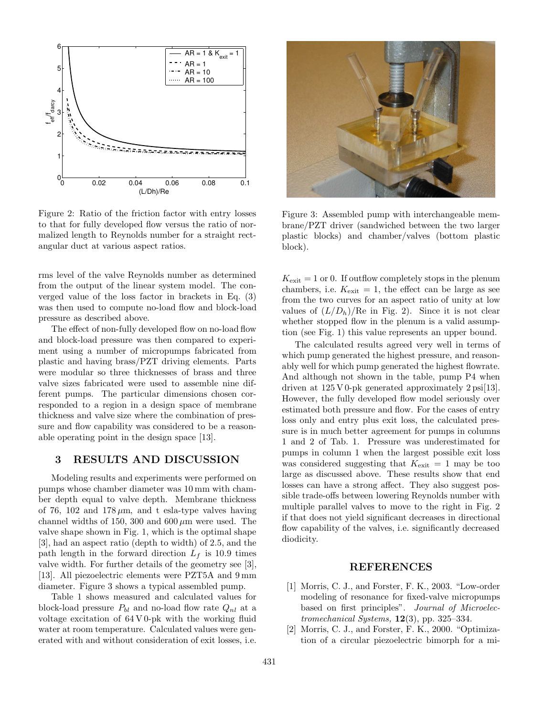

Figure 2: Ratio of the friction factor with entry losses to that for fully developed flow versus the ratio of normalized length to Reynolds number for a straight rectangular duct at various aspect ratios.

rms level of the valve Reynolds number as determined from the output of the linear system model. The converged value of the loss factor in brackets in Eq. (3) was then used to compute no-load flow and block-load pressure as described above.

The effect of non-fully developed flow on no-load flow and block-load pressure was then compared to experiment using a number of micropumps fabricated from plastic and having brass/PZT driving elements. Parts were modular so three thicknesses of brass and three valve sizes fabricated were used to assemble nine different pumps. The particular dimensions chosen corresponded to a region in a design space of membrane thickness and valve size where the combination of pressure and flow capability was considered to be a reasonable operating point in the design space [13].

### 3 RESULTS AND DISCUSSION

Modeling results and experiments were performed on pumps whose chamber diameter was 10 mm with chamber depth equal to valve depth. Membrane thickness of 76, 102 and 178  $\mu$ m, and t esla-type valves having channel widths of 150, 300 and  $600 \,\mu m$  were used. The valve shape shown in Fig. 1, which is the optimal shape [3], had an aspect ratio (depth to width) of 2.5, and the path length in the forward direction  $L_f$  is 10.9 times valve width. For further details of the geometry see [3], [13]. All piezoelectric elements were PZT5A and 9 mm diameter. Figure 3 shows a typical assembled pump.

Table 1 shows measured and calculated values for block-load pressure  $P_{bl}$  and no-load flow rate  $Q_{nl}$  at a voltage excitation of 64 V 0-pk with the working fluid water at room temperature. Calculated values were generated with and without consideration of exit losses, i.e.



Figure 3: Assembled pump with interchangeable membrane/PZT driver (sandwiched between the two larger plastic blocks) and chamber/valves (bottom plastic block).

 $K_{\text{exit}} = 1$  or 0. If outflow completely stops in the plenum chambers, i.e.  $K_{\text{exit}} = 1$ , the effect can be large as see from the two curves for an aspect ratio of unity at low values of  $(L/D_h)/Re$  in Fig. 2). Since it is not clear whether stopped flow in the plenum is a valid assumption (see Fig. 1) this value represents an upper bound.

The calculated results agreed very well in terms of which pump generated the highest pressure, and reasonably well for which pump generated the highest flowrate. And although not shown in the table, pump P4 when driven at  $125 \text{ V}$  0-pk generated approximately  $2 \text{ psi}[13]$ . However, the fully developed flow model seriously over estimated both pressure and flow. For the cases of entry loss only and entry plus exit loss, the calculated pressure is in much better agreement for pumps in columns 1 and 2 of Tab. 1. Pressure was underestimated for pumps in column 1 when the largest possible exit loss was considered suggesting that  $K_{\text{exit}} = 1$  may be too large as discussed above. These results show that end losses can have a strong affect. They also suggest possible trade-offs between lowering Reynolds number with multiple parallel valves to move to the right in Fig. 2 if that does not yield significant decreases in directional flow capability of the valves, i.e. significantly decreased diodicity.

### REFERENCES

- [1] Morris, C. J., and Forster, F. K., 2003. "Low-order modeling of resonance for fixed-valve micropumps based on first principles". Journal of Microelectromechanical Systems,  $12(3)$ , pp. 325–334.
- Morris, C. J., and Forster, F. K., 2000. "Optimization of a circular piezoelectric bimorph for a mi-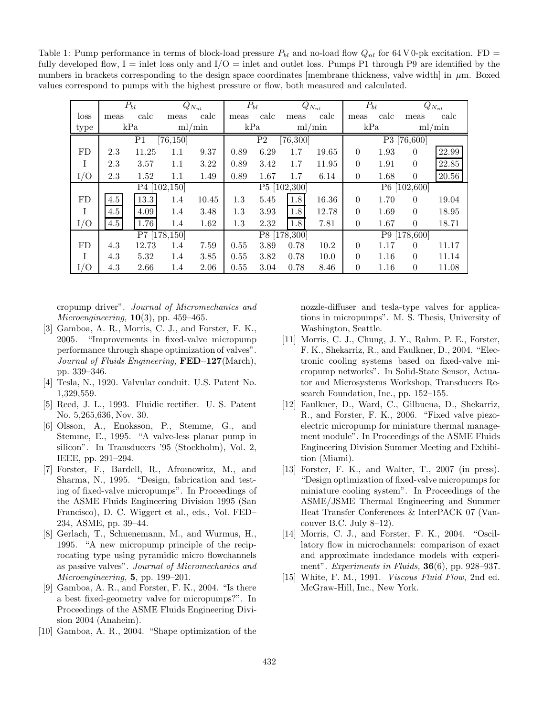Table 1: Pump performance in terms of block-load pressure  $P_{bl}$  and no-load flow  $Q_{nl}$  for 64 V 0-pk excitation. FD = fully developed flow,  $I =$  inlet loss only and  $I/O =$  inlet and outlet loss. Pumps P1 through P9 are identified by the numbers in brackets corresponding to the design space coordinates [membrane thickness, valve width] in  $\mu$ m. Boxed values correspond to pumps with the highest pressure or flow, both measured and calculated.

|      | $P_{bl}$        |       | $Q_{N_{nl}}$ |       | $P_{bl}$                    |      | $Q_{N_{nl}}$ |       | $P_{bl}$       |      | $Q_{N_{nl}}$ |       |  |
|------|-----------------|-------|--------------|-------|-----------------------------|------|--------------|-------|----------------|------|--------------|-------|--|
| loss | meas            | calc  | meas         | calc  | meas                        | calc | meas         | calc  | meas           | calc | meas         | calc  |  |
| type | kPa             |       | ml/min       |       | kPa                         |      | ml/min       |       | kPa            |      | ml/min       |       |  |
|      | P1<br>[76, 150] |       |              |       | [76, 300]<br>P <sub>2</sub> |      |              |       | P3 [76,600]    |      |              |       |  |
| FD   | 2.3             | 11.25 | $1.1\,$      | 9.37  | 0.89                        | 6.29 | 1.7          | 19.65 | $\theta$       | 1.93 | $\Omega$     | 22.99 |  |
| I    | 2.3             | 3.57  | 1.1          | 3.22  | 0.89                        | 3.42 | 1.7          | 11.95 | $\theta$       | 1.91 | $\Omega$     | 22.85 |  |
| I/O  | 2.3             | 1.52  | 1.1          | 1.49  | 0.89                        | 1.67 | 1.7          | 6.14  | $\overline{0}$ | 1.68 | $\Omega$     | 20.56 |  |
|      | P4 [102,150]    |       |              |       |                             |      | P5 [102,300] |       | P6 [102,600]   |      |              |       |  |
| FD   | 4.5             | 13.3  | 1.4          | 10.45 | 1.3                         | 5.45 | 1.8          | 16.36 | $\theta$       | 1.70 | $\Omega$     | 19.04 |  |
| I    | 4.5             | 4.09  | 1.4          | 3.48  | 1.3                         | 3.93 | 1.8          | 12.78 | $\theta$       | 1.69 | $\Omega$     | 18.95 |  |
| I/O  | 4.5             | 1.76  | 1.4          | 1.62  | 1.3                         | 2.32 | 1.8          | 7.81  | $\theta$       | 1.67 | $\Omega$     | 18.71 |  |
|      | P7 [178,150]    |       |              |       |                             |      | P8 [178,300] |       | P9 [178,600]   |      |              |       |  |
| FD   | 4.3             | 12.73 | 1.4          | 7.59  | 0.55                        | 3.89 | 0.78         | 10.2  | $\theta$       | 1.17 | $\Omega$     | 11.17 |  |
| T    | 4.3             | 5.32  | 1.4          | 3.85  | 0.55                        | 3.82 | 0.78         | 10.0  | $\theta$       | 1.16 | $\Omega$     | 11.14 |  |
| I/O  | 4.3             | 2.66  | 1.4          | 2.06  | 0.55                        | 3.04 | 0.78         | 8.46  | $\overline{0}$ | 1.16 | 0            | 11.08 |  |

cropump driver". Journal of Micromechanics and Microengineering,  $10(3)$ , pp. 459–465.

- [3] Gamboa, A. R., Morris, C. J., and Forster, F. K., 2005. "Improvements in fixed-valve micropump performance through shape optimization of valves". Journal of Fluids Engineering, FED–127(March), pp. 339–346.
- [4] Tesla, N., 1920. Valvular conduit. U.S. Patent No. 1,329,559.
- [5] Reed, J. L., 1993. Fluidic rectifier. U. S. Patent No. 5,265,636, Nov. 30.
- [6] Olsson, A., Enoksson, P., Stemme, G., and Stemme, E., 1995. "A valve-less planar pump in silicon". In Transducers '95 (Stockholm), Vol. 2, IEEE, pp. 291–294.
- [7] Forster, F., Bardell, R., Afromowitz, M., and Sharma, N., 1995. "Design, fabrication and testing of fixed-valve micropumps". In Proceedings of the ASME Fluids Engineering Division 1995 (San Francisco), D. C. Wiggert et al., eds., Vol. FED– 234, ASME, pp. 39–44.
- [8] Gerlach, T., Schuenemann, M., and Wurmus, H., 1995. "A new micropump principle of the reciprocating type using pyramidic micro flowchannels as passive valves". Journal of Micromechanics and Microengineering, 5, pp. 199–201.
- [9] Gamboa, A. R., and Forster, F. K., 2004. "Is there a best fixed-geometry valve for micropumps?". In Proceedings of the ASME Fluids Engineering Division 2004 (Anaheim).
- [10] Gamboa, A. R., 2004. "Shape optimization of the

nozzle-diffuser and tesla-type valves for applications in micropumps". M. S. Thesis, University of Washington, Seattle.

- [11] Morris, C. J., Chung, J. Y., Rahm, P. E., Forster, F. K., Shekarriz, R., and Faulkner, D., 2004. "Electronic cooling systems based on fixed-valve micropump networks". In Solid-State Sensor, Actuator and Microsystems Workshop, Transducers Research Foundation, Inc., pp. 152–155.
- [12] Faulkner, D., Ward, C., Gilbuena, D., Shekarriz, R., and Forster, F. K., 2006. "Fixed valve piezoelectric micropump for miniature thermal management module". In Proceedings of the ASME Fluids Engineering Division Summer Meeting and Exhibition (Miami).
- [13] Forster, F. K., and Walter, T., 2007 (in press). "Design optimization of fixed-valve micropumps for miniature cooling system". In Proceedings of the ASME/JSME Thermal Engineering and Summer Heat Transfer Conferences & InterPACK 07 (Vancouver B.C. July 8–12).
- [14] Morris, C. J., and Forster, F. K., 2004. "Oscillatory flow in microchannels: comparison of exact and approximate imdedance models with experiment". Experiments in Fluids, 36(6), pp. 928-937.
- [15] White, F. M., 1991. *Viscous Fluid Flow*, 2nd ed. McGraw-Hill, Inc., New York.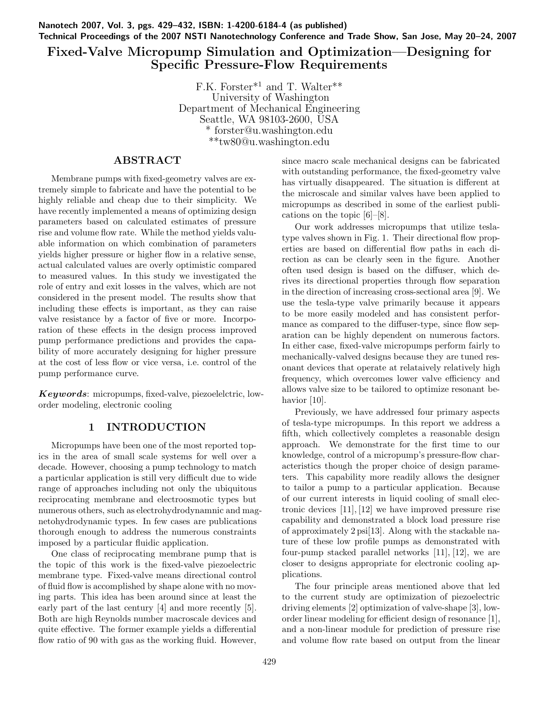Nanotech 2007, Vol. 3, pgs. 429–432, ISBN: 1-4200-6184-4 (as published) Technical Proceedings of the 2007 NSTI Nanotechnology Conference and Trade Show, San Jose, May 20–24, 2007

# Fixed-Valve Micropump Simulation and Optimization—Designing for Specific Pressure-Flow Requirements

F.K. Forster\*<sup>1</sup> and T. Walter\*\* University of Washington Department of Mechanical Engineering Seattle, WA 98103-2600, USA \* forster@u.washington.edu \*\*tw80@u.washington.edu

## ABSTRACT

Membrane pumps with fixed-geometry valves are extremely simple to fabricate and have the potential to be highly reliable and cheap due to their simplicity. We have recently implemented a means of optimizing design parameters based on calculated estimates of pressure rise and volume flow rate. While the method yields valuable information on which combination of parameters yields higher pressure or higher flow in a relative sense, actual calculated values are overly optimistic compared to measured values. In this study we investigated the role of entry and exit losses in the valves, which are not considered in the present model. The results show that including these effects is important, as they can raise valve resistance by a factor of five or more. Incorporation of these effects in the design process improved pump performance predictions and provides the capability of more accurately designing for higher pressure at the cost of less flow or vice versa, i.e. control of the pump performance curve.

Keywords: micropumps, fixed-valve, piezoelelctric, loworder modeling, electronic cooling

## 1 INTRODUCTION

Micropumps have been one of the most reported topics in the area of small scale systems for well over a decade. However, choosing a pump technology to match a particular application is still very difficult due to wide range of approaches including not only the ubiquitous reciprocating membrane and electroosmotic types but numerous others, such as electrohydrodynamnic and magnetohydrodynamic types. In few cases are publications thorough enough to address the numerous constraints imposed by a particular fluidic application.

One class of reciprocating membrane pump that is the topic of this work is the fixed-valve piezoelectric membrane type. Fixed-valve means directional control of fluid flow is accomplished by shape alone with no moving parts. This idea has been around since at least the early part of the last century [4] and more recently [5]. Both are high Reynolds number macroscale devices and quite effective. The former example yields a differential flow ratio of 90 with gas as the working fluid. However, since macro scale mechanical designs can be fabricated with outstanding performance, the fixed-geometry valve has virtually disappeared. The situation is different at the microscale and similar valves have been applied to micropumps as described in some of the earliest publications on the topic [6]–[8].

Our work addresses micropumps that utilize teslatype valves shown in Fig. 1. Their directional flow properties are based on differential flow paths in each direction as can be clearly seen in the figure. Another often used design is based on the diffuser, which derives its directional properties through flow separation in the direction of increasing cross-sectional area [9]. We use the tesla-type valve primarily because it appears to be more easily modeled and has consistent performance as compared to the diffuser-type, since flow separation can be highly dependent on numerous factors. In either case, fixed-valve micropumps perform fairly to mechanically-valved designs because they are tuned resonant devices that operate at relataively relatively high frequency, which overcomes lower valve efficiency and allows valve size to be tailored to optimize resonant behavior [10].

Previously, we have addressed four primary aspects of tesla-type micropumps. In this report we address a fifth, which collectively completes a reasonable design approach. We demonstrate for the first time to our knowledge, control of a micropump's pressure-flow characteristics though the proper choice of design parameters. This capability more readily allows the designer to tailor a pump to a particular application. Because of our current interests in liquid cooling of small electronic devices [11], [12] we have improved pressure rise capability and demonstrated a block load pressure rise of approximately 2 psi[13]. Along with the stackable nature of these low profile pumps as demonstrated with four-pump stacked parallel networks [11], [12], we are closer to designs appropriate for electronic cooling applications.

The four principle areas mentioned above that led to the current study are optimization of piezoelectric driving elements [2] optimization of valve-shape [3], loworder linear modeling for efficient design of resonance [1], and a non-linear module for prediction of pressure rise and volume flow rate based on output from the linear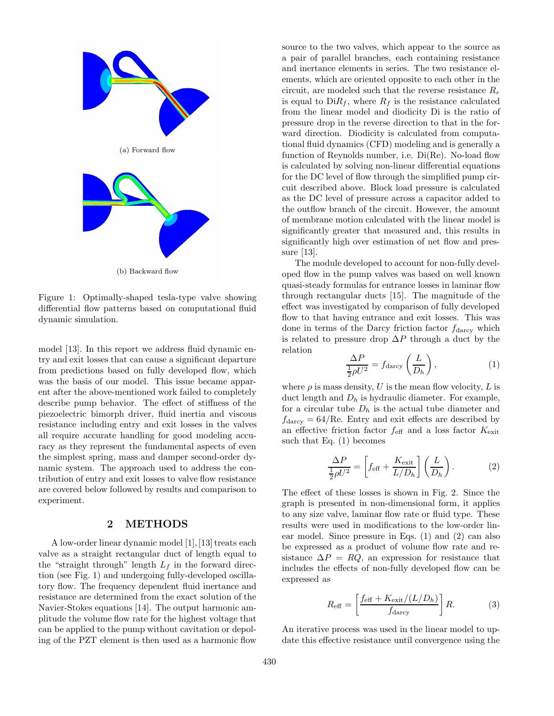

Figure 1: Optimally-shaped tesla-type valve showing differential flow patterns based on computational fluid dynamic simulation.

model [13]. In this report we address fluid dynamic entry and exit losses that can cause a significant departure from predictions based on fully developed flow, which was the basis of our model. This issue became apparent after the above-mentioned work failed to completely describe pump behavior. The effect of stiffness of the piezoelectric bimorph driver, fluid inertia and viscous resistance including entry and exit losses in the valves all require accurate handling for good modeling accuracy as they represent the fundamental aspects of even the simplest spring, mass and damper second-order dynamic system. The approach used to address the contribution of entry and exit losses to valve flow resistance are covered below followed by results and comparison to experiment.

### 2 METHODS

A low-order linear dynamic model [1], [13] treats each valve as a straight rectangular duct of length equal to the "straight through" length  $L_f$  in the forward direction (see Fig. 1) and undergoing fully-developed oscillatory flow. The frequency dependent fluid inertance and resistance are determined from the exact solution of the Navier-Stokes equations [14]. The output harmonic amplitude the volume flow rate for the highest voltage that can be applied to the pump without cavitation or depoling of the PZT element is then used as a harmonic flow

source to the two valves, which appear to the source as a pair of parallel branches, each containing resistance and inertance elements in series. The two resistance elements, which are oriented opposite to each other in the circuit, are modeled such that the reverse resistance  $R_r$ is equal to  $DiR_f$ , where  $R_f$  is the resistance calculated from the linear model and diodicity Di is the ratio of pressure drop in the reverse direction to that in the forward direction. Diodicity is calculated from computational fluid dynamics (CFD) modeling and is generally a function of Reynolds number, i.e. Di(Re). No-load flow is calculated by solving non-linear differential equations for the DC level of flow through the simplified pump circuit described above. Block load pressure is calculated as the DC level of pressure across a capacitor added to the outflow branch of the circuit. However, the amount of membrane motion calculated with the linear model is significantly greater that measured and, this results in significantly high over estimation of net flow and pressure [13].

The module developed to account for non-fully developed flow in the pump valves was based on well known quasi-steady formulas for entrance losses in laminar flow through rectangular ducts [15]. The magnitude of the effect was investigated by comparison of fully developed flow to that having entrance and exit losses. This was done in terms of the Darcy friction factor  $f_{\text{darcy}}$  which is related to pressure drop  $\Delta P$  through a duct by the relation

$$
\frac{\Delta P}{\frac{1}{2}\rho U^2} = f_{\text{darcy}}\left(\frac{L}{D_h}\right),\tag{1}
$$

where  $\rho$  is mass density, U is the mean flow velocity, L is duct length and  $D_h$  is hydraulic diameter. For example, for a circular tube  $D_h$  is the actual tube diameter and  $f_{\text{darcy}} = 64/\text{Re}$ . Entry and exit effects are described by an effective friction factor  $f_{\text{eff}}$  and a loss factor  $K_{\text{exit}}$ such that Eq. (1) becomes

$$
\frac{\Delta P}{\frac{1}{2}\rho U^2} = \left[ f_{\text{eff}} + \frac{K_{\text{exit}}}{L/D_h} \right] \left( \frac{L}{D_h} \right). \tag{2}
$$

The effect of these losses is shown in Fig. 2. Since the graph is presented in non-dimensional form, it applies to any size valve, laminar flow rate or fluid type. These results were used in modifications to the low-order linear model. Since pressure in Eqs. (1) and (2) can also be expressed as a product of volume flow rate and resistance  $\Delta P = RQ$ , an expression for resistance that includes the effects of non-fully developed flow can be expressed as

$$
R_{\text{eff}} = \left[\frac{f_{\text{eff}} + K_{\text{exit}}/(L/D_h)}{f_{\text{darcy}}}\right]R.
$$
 (3)

An iterative process was used in the linear model to update this effective resistance until convergence using the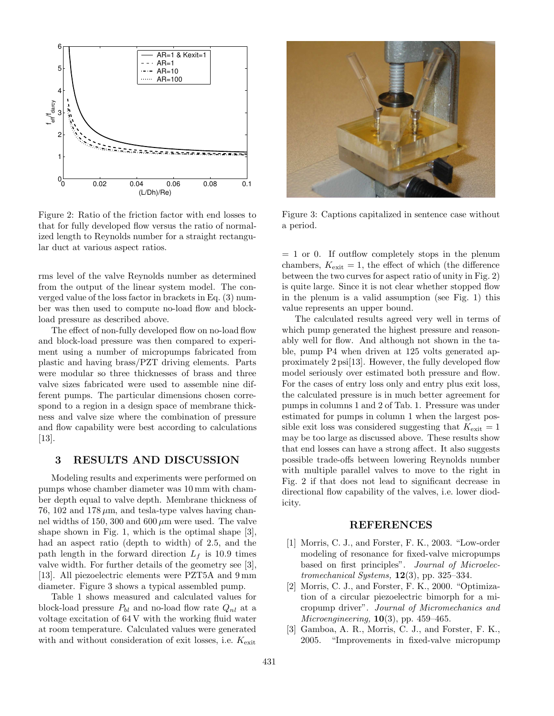

Figure 2: Ratio of the friction factor with end losses to that for fully developed flow versus the ratio of normalized length to Reynolds number for a straight rectangular duct at various aspect ratios.

rms level of the valve Reynolds number as determined from the output of the linear system model. The converged value of the loss factor in brackets in Eq. (3) number was then used to compute no-load flow and blockload pressure as described above.

The effect of non-fully developed flow on no-load flow and block-load pressure was then compared to experiment using a number of micropumps fabricated from plastic and having brass/PZT driving elements. Parts were modular so three thicknesses of brass and three valve sizes fabricated were used to assemble nine different pumps. The particular dimensions chosen correspond to a region in a design space of membrane thickness and valve size where the combination of pressure and flow capability were best according to calculations [13].

### 3 RESULTS AND DISCUSSION

Modeling results and experiments were performed on pumps whose chamber diameter was 10 mm with chamber depth equal to valve depth. Membrane thickness of 76, 102 and 178  $\mu$ m, and tesla-type valves having channel widths of 150, 300 and 600  $\mu$ m were used. The valve shape shown in Fig. 1, which is the optimal shape [3], had an aspect ratio (depth to width) of 2.5, and the path length in the forward direction  $L_f$  is 10.9 times valve width. For further details of the geometry see [3], [13]. All piezoelectric elements were PZT5A and 9 mm diameter. Figure 3 shows a typical assembled pump.

Table 1 shows measured and calculated values for block-load pressure  $P_{bl}$  and no-load flow rate  $Q_{nl}$  at a voltage excitation of 64 V with the working fluid water at room temperature. Calculated values were generated with and without consideration of exit losses, i.e.  $K_{\text{exit}}$ 



Figure 3: Captions capitalized in sentence case without a period.

 $= 1$  or 0. If outflow completely stops in the plenum chambers,  $K_{\text{exit}} = 1$ , the effect of which (the difference between the two curves for aspect ratio of unity in Fig. 2) is quite large. Since it is not clear whether stopped flow in the plenum is a valid assumption (see Fig. 1) this value represents an upper bound.

The calculated results agreed very well in terms of which pump generated the highest pressure and reasonably well for flow. And although not shown in the table, pump P4 when driven at 125 volts generated approximately 2 psi[13]. However, the fully developed flow model seriously over estimated both pressure and flow. For the cases of entry loss only and entry plus exit loss, the calculated pressure is in much better agreement for pumps in columns 1 and 2 of Tab. 1. Pressure was under estimated for pumps in column 1 when the largest possible exit loss was considered suggesting that  $K_{\text{exit}} = 1$ may be too large as discussed above. These results show that end losses can have a strong affect. It also suggests possible trade-offs between lowering Reynolds number with multiple parallel valves to move to the right in Fig. 2 if that does not lead to significant decrease in directional flow capability of the valves, i.e. lower diodicity.

#### REFERENCES

- [1] Morris, C. J., and Forster, F. K., 2003. "Low-order modeling of resonance for fixed-valve micropumps based on first principles". Journal of Microelectromechanical Systems,  $12(3)$ , pp. 325-334.
- [2] Morris, C. J., and Forster, F. K., 2000. "Optimization of a circular piezoelectric bimorph for a micropump driver". Journal of Micromechanics and Microengineering,  $10(3)$ , pp. 459–465.
- [3] Gamboa, A. R., Morris, C. J., and Forster, F. K., 2005. "Improvements in fixed-valve micropump